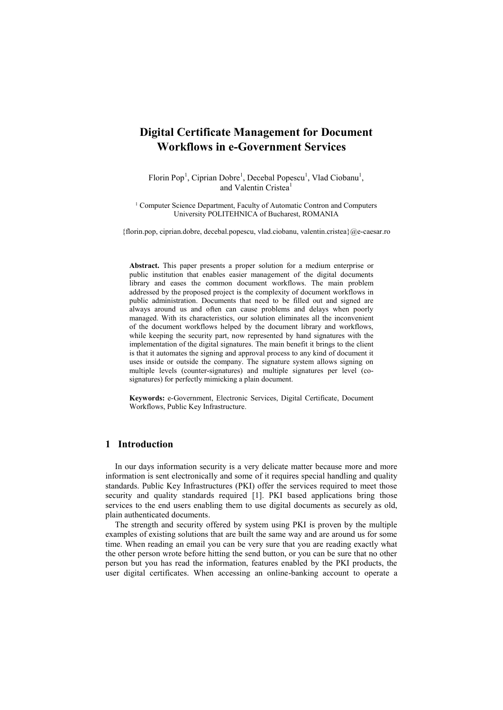# **Digital Certificate Management for Document Workflows in e-Government Services**

Florin Pop<sup>1</sup>, Ciprian Dobre<sup>1</sup>, Decebal Popescu<sup>1</sup>, Vlad Ciobanu<sup>1</sup>, and Valentin Cristea<sup>1</sup>

<sup>1</sup> Computer Science Department, Faculty of Automatic Contron and Computers University POLITEHNICA of Bucharest, ROMANIA

{florin.pop, ciprian.dobre, decebal.popescu, vlad.ciobanu, valentin.cristea}@e-caesar.ro

**Abstract.** This paper presents a proper solution for a medium enterprise or public institution that enables easier management of the digital documents library and eases the common document workflows. The main problem addressed by the proposed project is the complexity of document workflows in public administration. Documents that need to be filled out and signed are always around us and often can cause problems and delays when poorly managed. With its characteristics, our solution eliminates all the inconvenient of the document workflows helped by the document library and workflows, while keeping the security part, now represented by hand signatures with the implementation of the digital signatures. The main benefit it brings to the client is that it automates the signing and approval process to any kind of document it uses inside or outside the company. The signature system allows signing on multiple levels (counter-signatures) and multiple signatures per level (cosignatures) for perfectly mimicking a plain document.

**Keywords:** e-Government, Electronic Services, Digital Certificate, Document Workflows, Public Key Infrastructure.

## **1 Introduction**

In our days information security is a very delicate matter because more and more information is sent electronically and some of it requires special handling and quality standards. Public Key Infrastructures (PKI) offer the services required to meet those security and quality standards required [1]. PKI based applications bring those services to the end users enabling them to use digital documents as securely as old, plain authenticated documents.

The strength and security offered by system using PKI is proven by the multiple examples of existing solutions that are built the same way and are around us for some time. When reading an email you can be very sure that you are reading exactly what the other person wrote before hitting the send button, or you can be sure that no other person but you has read the information, features enabled by the PKI products, the user digital certificates. When accessing an online-banking account to operate a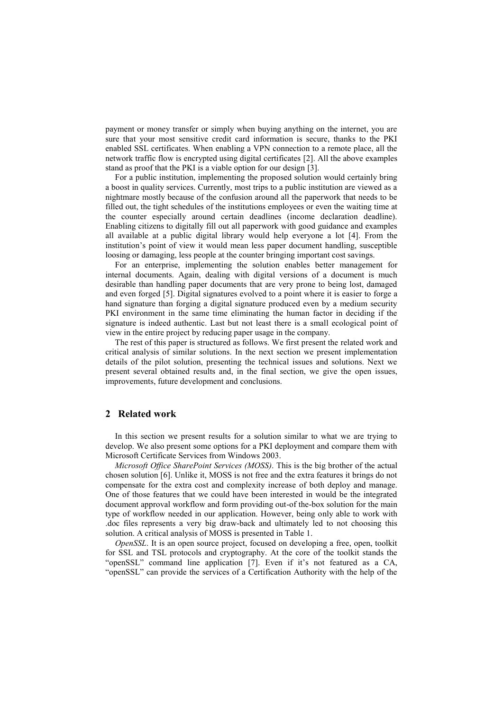payment or money transfer or simply when buying anything on the internet, you are sure that your most sensitive credit card information is secure, thanks to the PKI enabled SSL certificates. When enabling a VPN connection to a remote place, all the network traffic flow is encrypted using digital certificates [2]. All the above examples stand as proof that the PKI is a viable option for our design [3].

For a public institution, implementing the proposed solution would certainly bring a boost in quality services. Currently, most trips to a public institution are viewed as a nightmare mostly because of the confusion around all the paperwork that needs to be filled out, the tight schedules of the institutions employees or even the waiting time at the counter especially around certain deadlines (income declaration deadline). Enabling citizens to digitally fill out all paperwork with good guidance and examples all available at a public digital library would help everyone a lot [4]. From the institution's point of view it would mean less paper document handling, susceptible loosing or damaging, less people at the counter bringing important cost savings.

For an enterprise, implementing the solution enables better management for internal documents. Again, dealing with digital versions of a document is much desirable than handling paper documents that are very prone to being lost, damaged and even forged [5]. Digital signatures evolved to a point where it is easier to forge a hand signature than forging a digital signature produced even by a medium security PKI environment in the same time eliminating the human factor in deciding if the signature is indeed authentic. Last but not least there is a small ecological point of view in the entire project by reducing paper usage in the company.

The rest of this paper is structured as follows. We first present the related work and critical analysis of similar solutions. In the next section we present implementation details of the pilot solution, presenting the technical issues and solutions. Next we present several obtained results and, in the final section, we give the open issues, improvements, future development and conclusions.

### **2 Related work**

In this section we present results for a solution similar to what we are trying to develop. We also present some options for a PKI deployment and compare them with Microsoft Certificate Services from Windows 2003.

*Microsoft Office SharePoint Services (MOSS)*. This is the big brother of the actual chosen solution [6]. Unlike it, MOSS is not free and the extra features it brings do not compensate for the extra cost and complexity increase of both deploy and manage. One of those features that we could have been interested in would be the integrated document approval workflow and form providing out-of the-box solution for the main type of workflow needed in our application. However, being only able to work with .doc files represents a very big draw-back and ultimately led to not choosing this solution. A critical analysis of MOSS is presented in Table 1.

*OpenSSL*. It is an open source project, focused on developing a free, open, toolkit for SSL and TSL protocols and cryptography. At the core of the toolkit stands the "openSSL" command line application [7]. Even if it's not featured as a CA, "openSSL" can provide the services of a Certification Authority with the help of the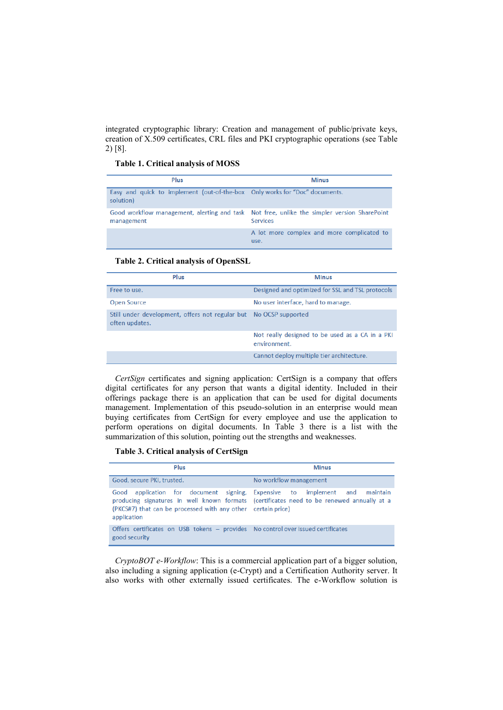integrated cryptographic library: Creation and management of public/private keys, creation of X.509 certificates, CRL files and PKI cryptographic operations (see Table 2) [8].

#### **Table 1. Critical analysis of MOSS**

| <b>Plus</b>                                                                              | <b>Minus</b>                                                                                                   |
|------------------------------------------------------------------------------------------|----------------------------------------------------------------------------------------------------------------|
| Easy and quick to implement (out-of-the-box Only works for "Doc" documents.<br>solution) |                                                                                                                |
| management                                                                               | Good workflow management, alerting and task Not free, unlike the simpler version SharePoint<br><b>Services</b> |
|                                                                                          | A lot more complex and more complicated to<br>use.                                                             |

## **Table 2. Critical analysis of OpenSSL**

| Plus                                                                                | <b>Minus</b>                                                    |  |  |
|-------------------------------------------------------------------------------------|-----------------------------------------------------------------|--|--|
| Free to use.                                                                        | Designed and optimized for SSL and TSL protocols                |  |  |
| <b>Open Source</b>                                                                  | No user interface, hard to manage.                              |  |  |
| Still under development, offers not regular but No OCSP supported<br>often updates. |                                                                 |  |  |
|                                                                                     | Not really designed to be used as a CA in a PKI<br>environment. |  |  |
|                                                                                     | Cannot deploy multiple tier architecture.                       |  |  |

*CertSign* certificates and signing application: CertSign is a company that offers digital certificates for any person that wants a digital identity. Included in their offerings package there is an application that can be used for digital documents management. Implementation of this pseudo-solution in an enterprise would mean buying certificates from CertSign for every employee and use the application to perform operations on digital documents. In Table 3 there is a list with the summarization of this solution, pointing out the strengths and weaknesses.

#### **Table 3. Critical analysis of CertSign**

| Plus                                                                                              | <b>Minus</b>                                                                                                                                                            |  |  |
|---------------------------------------------------------------------------------------------------|-------------------------------------------------------------------------------------------------------------------------------------------------------------------------|--|--|
| Good, secure PKI, trusted.                                                                        | No workflow management                                                                                                                                                  |  |  |
| (PKCS#7) that can be processed with any other certain price)<br>application                       | Good application for document signing, Expensive to implement and maintain<br>producing signatures in well known formats (certificates need to be renewed annually at a |  |  |
| Offers certificates on USB tokens - provides No control over issued certificates<br>good security |                                                                                                                                                                         |  |  |

*CryptoBOT e-Workflow*: This is a commercial application part of a bigger solution, also including a signing application (e-Crypt) and a Certification Authority server. It also works with other externally issued certificates. The e-Workflow solution is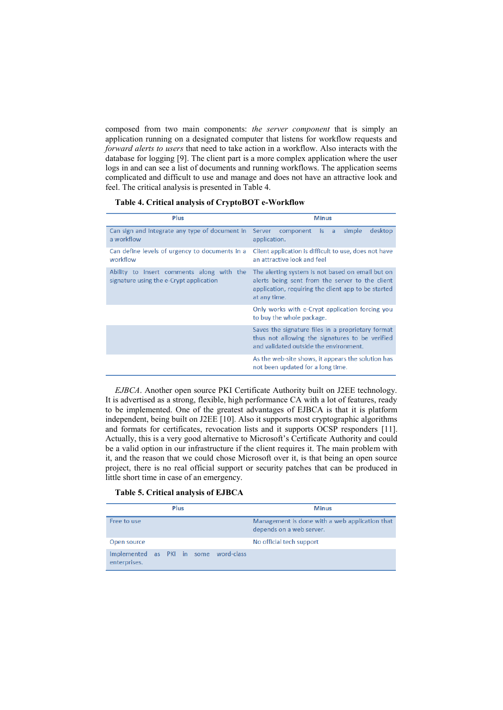composed from two main components: *the server component* that is simply an application running on a designated computer that listens for workflow requests and *forward alerts to users* that need to take action in a workflow. Also interacts with the database for logging [9]. The client part is a more complex application where the user logs in and can see a list of documents and running workflows. The application seems complicated and difficult to use and manage and does not have an attractive look and feel. The critical analysis is presented in Table 4.

|  |  |  |  |  | Table 4. Critical analysis of CryptoBOT e-Workflow |
|--|--|--|--|--|----------------------------------------------------|
|--|--|--|--|--|----------------------------------------------------|

| Plus                                                                                 | <b>Minus</b>                                                                                                                                                               |  |  |  |
|--------------------------------------------------------------------------------------|----------------------------------------------------------------------------------------------------------------------------------------------------------------------------|--|--|--|
| Can sign and integrate any type of document in<br>a workflow                         | desktop<br>Server<br>simple<br>component<br>is.<br>- a<br>application.                                                                                                     |  |  |  |
| Can define levels of urgency to documents in a<br>workflow                           | Client application is difficult to use, does not have<br>an attractive look and feel                                                                                       |  |  |  |
| Ability to insert comments along with the<br>signature using the e-Crypt application | The alerting system is not based on email but on<br>alerts being sent from the server to the client<br>application, requiring the client app to be started<br>at any time. |  |  |  |
|                                                                                      | Only works with e-Crypt application forcing you<br>to buy the whole package.                                                                                               |  |  |  |
|                                                                                      | Saves the signature files in a proprietary format<br>thus not allowing the signatures to be verified<br>and validated outside the environment.                             |  |  |  |
|                                                                                      | As the web-site shows, it appears the solution has<br>not been updated for a long time.                                                                                    |  |  |  |

*EJBCA*. Another open source PKI Certificate Authority built on J2EE technology. It is advertised as a strong, flexible, high performance CA with a lot of features, ready to be implemented. One of the greatest advantages of EJBCA is that it is platform independent, being built on J2EE [10]. Also it supports most cryptographic algorithms and formats for certificates, revocation lists and it supports OCSP responders [11]. Actually, this is a very good alternative to Microsoft's Certificate Authority and could be a valid option in our infrastructure if the client requires it. The main problem with it, and the reason that we could chose Microsoft over it, is that being an open source project, there is no real official support or security patches that can be produced in little short time in case of an emergency.

| Plus                                                  |  |  |  |  | <b>Minus</b>                                                               |
|-------------------------------------------------------|--|--|--|--|----------------------------------------------------------------------------|
| Free to use                                           |  |  |  |  | Management is done with a web application that<br>depends on a web server. |
| Open source                                           |  |  |  |  | No official tech support                                                   |
| Implemented as PKI in some word-class<br>enterprises. |  |  |  |  |                                                                            |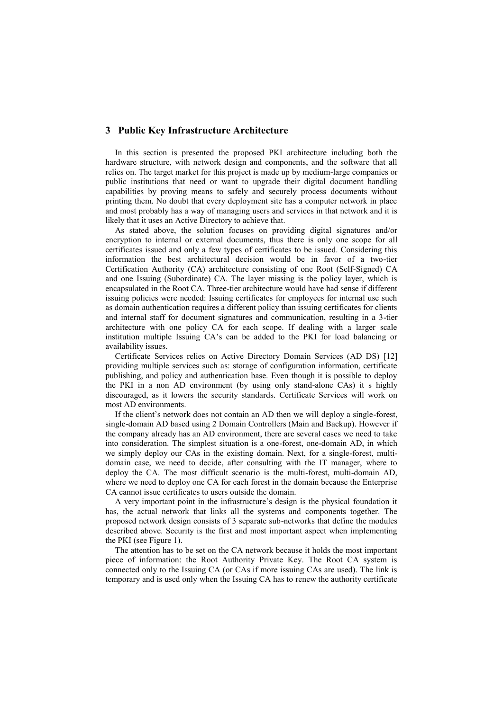## **3 Public Key Infrastructure Architecture**

In this section is presented the proposed PKI architecture including both the hardware structure, with network design and components, and the software that all relies on. The target market for this project is made up by medium-large companies or public institutions that need or want to upgrade their digital document handling capabilities by proving means to safely and securely process documents without printing them. No doubt that every deployment site has a computer network in place and most probably has a way of managing users and services in that network and it is likely that it uses an Active Directory to achieve that.

As stated above, the solution focuses on providing digital signatures and/or encryption to internal or external documents, thus there is only one scope for all certificates issued and only a few types of certificates to be issued. Considering this information the best architectural decision would be in favor of a two-tier Certification Authority (CA) architecture consisting of one Root (Self-Signed) CA and one Issuing (Subordinate) CA. The layer missing is the policy layer, which is encapsulated in the Root CA. Three-tier architecture would have had sense if different issuing policies were needed: Issuing certificates for employees for internal use such as domain authentication requires a different policy than issuing certificates for clients and internal staff for document signatures and communication, resulting in a 3-tier architecture with one policy CA for each scope. If dealing with a larger scale institution multiple Issuing CA's can be added to the PKI for load balancing or availability issues.

Certificate Services relies on Active Directory Domain Services (AD DS) [12] providing multiple services such as: storage of configuration information, certificate publishing, and policy and authentication base. Even though it is possible to deploy the PKI in a non AD environment (by using only stand-alone CAs) it s highly discouraged, as it lowers the security standards. Certificate Services will work on most AD environments.

If the client's network does not contain an AD then we will deploy a single-forest, single-domain AD based using 2 Domain Controllers (Main and Backup). However if the company already has an AD environment, there are several cases we need to take into consideration. The simplest situation is a one-forest, one-domain AD, in which we simply deploy our CAs in the existing domain. Next, for a single-forest, multidomain case, we need to decide, after consulting with the IT manager, where to deploy the CA. The most difficult scenario is the multi-forest, multi-domain AD, where we need to deploy one CA for each forest in the domain because the Enterprise CA cannot issue certificates to users outside the domain.

A very important point in the infrastructure's design is the physical foundation it has, the actual network that links all the systems and components together. The proposed network design consists of 3 separate sub-networks that define the modules described above. Security is the first and most important aspect when implementing the PKI (see Figure 1).

The attention has to be set on the CA network because it holds the most important piece of information: the Root Authority Private Key. The Root CA system is connected only to the Issuing CA (or CAs if more issuing CAs are used). The link is temporary and is used only when the Issuing CA has to renew the authority certificate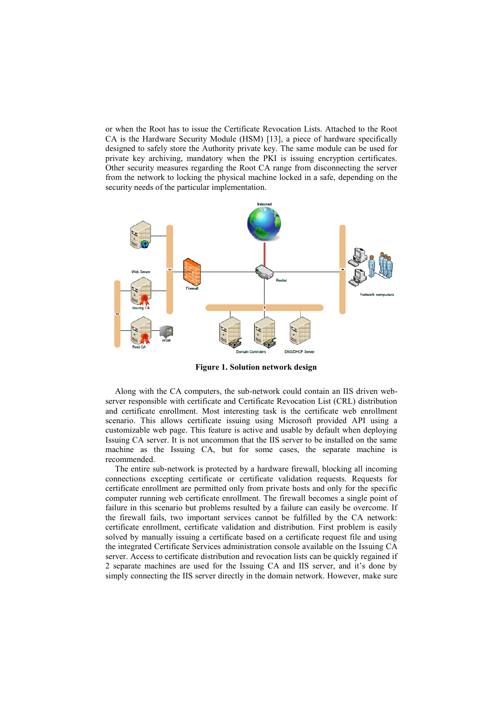or when the Root has to issue the Certificate Revocation Lists. Attached to the Root CA is the Hardware Security Module (HSM) [13], a piece of hardware specifically designed to safely store the Authority private key. The same module can be used for private key archiving, mandatory when the PKI is issuing encryption certificates. Other security measures regarding the Root CA range from disconnecting the server from the network to locking the physical machine locked in a safe, depending on the security needs of the particular implementation.



**Figure 1. Solution network design**

Along with the CA computers, the sub-network could contain an IIS driven webserver responsible with certificate and Certificate Revocation List (CRL) distribution and certificate enrollment. Most interesting task is the certificate web enrollment scenario. This allows certificate issuing using Microsoft provided API using a customizable web page. This feature is active and usable by default when deploying Issuing CA server. It is not uncommon that the IIS server to be installed on the same machine as the Issuing CA, but for some cases, the separate machine is recommended.

The entire sub-network is protected by a hardware firewall, blocking all incoming connections excepting certificate or certificate validation requests. Requests for certificate enrollment are permitted only from private hosts and only for the specific computer running web certificate enrollment. The firewall becomes a single point of failure in this scenario but problems resulted by a failure can easily be overcome. If the firewall fails, two important services cannot be fulfilled by the CA network: certificate enrollment, certificate validation and distribution. First problem is easily solved by manually issuing a certificate based on a certificate request file and using the integrated Certificate Services administration console available on the Issuing CA server. Access to certificate distribution and revocation lists can be quickly regained if 2 separate machines are used for the Issuing CA and IIS server, and it's done by simply connecting the IIS server directly in the domain network. However, make sure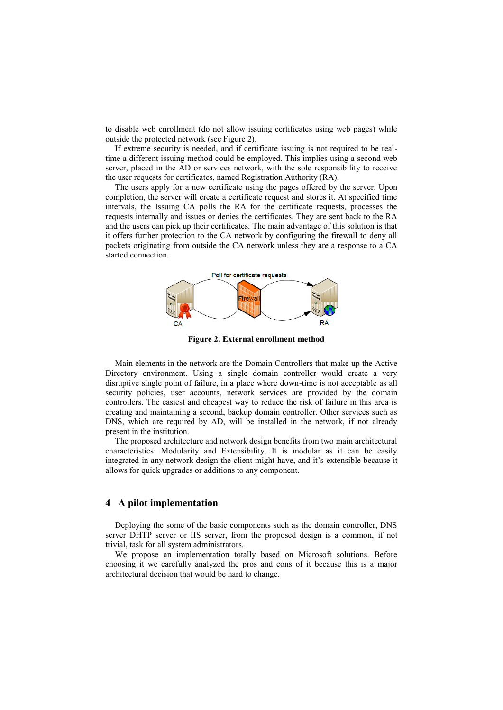to disable web enrollment (do not allow issuing certificates using web pages) while outside the protected network (see Figure 2).

If extreme security is needed, and if certificate issuing is not required to be realtime a different issuing method could be employed. This implies using a second web server, placed in the AD or services network, with the sole responsibility to receive the user requests for certificates, named Registration Authority (RA).

The users apply for a new certificate using the pages offered by the server. Upon completion, the server will create a certificate request and stores it. At specified time intervals, the Issuing CA polls the RA for the certificate requests, processes the requests internally and issues or denies the certificates. They are sent back to the RA and the users can pick up their certificates. The main advantage of this solution is that it offers further protection to the CA network by configuring the firewall to deny all packets originating from outside the CA network unless they are a response to a CA started connection.



**Figure 2. External enrollment method**

Main elements in the network are the Domain Controllers that make up the Active Directory environment. Using a single domain controller would create a very disruptive single point of failure, in a place where down-time is not acceptable as all security policies, user accounts, network services are provided by the domain controllers. The easiest and cheapest way to reduce the risk of failure in this area is creating and maintaining a second, backup domain controller. Other services such as DNS, which are required by AD, will be installed in the network, if not already present in the institution.

The proposed architecture and network design benefits from two main architectural characteristics: Modularity and Extensibility. It is modular as it can be easily integrated in any network design the client might have, and it's extensible because it allows for quick upgrades or additions to any component.

## **4 A pilot implementation**

Deploying the some of the basic components such as the domain controller, DNS server DHTP server or IIS server, from the proposed design is a common, if not trivial, task for all system administrators.

We propose an implementation totally based on Microsoft solutions. Before choosing it we carefully analyzed the pros and cons of it because this is a major architectural decision that would be hard to change.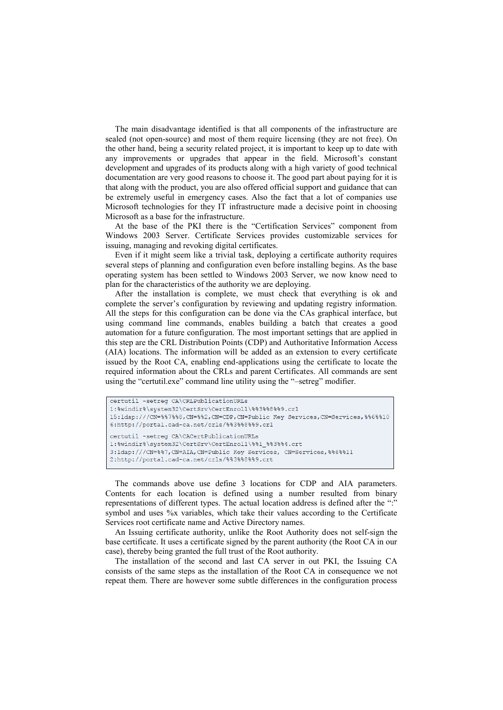The main disadvantage identified is that all components of the infrastructure are sealed (not open-source) and most of them require licensing (they are not free). On the other hand, being a security related project, it is important to keep up to date with any improvements or upgrades that appear in the field. Microsoft's constant development and upgrades of its products along with a high variety of good technical documentation are very good reasons to choose it. The good part about paying for it is that along with the product, you are also offered official support and guidance that can be extremely useful in emergency cases. Also the fact that a lot of companies use Microsoft technologies for they IT infrastructure made a decisive point in choosing Microsoft as a base for the infrastructure.

At the base of the PKI there is the "Certification Services" component from Windows 2003 Server. Certificate Services provides customizable services for issuing, managing and revoking digital certificates.

Even if it might seem like a trivial task, deploying a certificate authority requires several steps of planning and configuration even before installing begins. As the base operating system has been settled to Windows 2003 Server, we now know need to plan for the characteristics of the authority we are deploying.

After the installation is complete, we must check that everything is ok and complete the server's configuration by reviewing and updating registry information. All the steps for this configuration can be done via the CAs graphical interface, but using command line commands, enables building a batch that creates a good automation for a future configuration. The most important settings that are applied in this step are the CRL Distribution Points (CDP) and Authoritative Information Access (AIA) locations. The information will be added as an extension to every certificate issued by the Root CA, enabling end-applications using the certificate to locate the required information about the CRLs and parent Certificates. All commands are sent using the "certutil.exe" command line utility using the "–setreg" modifier.

```
certutil -setreg CA\CRLPublicationURLs
1:%windir%\system32\CertSrv\CertEnroll\%%3%%8%%9.crl
15:1dap:///CN=%%7%%8,CN=%%2,CN=CDP,CN=Public Key Services,CN=Services,%%6%%10
6:http://portal.cad-ca.net/crls/%%3%%8%%9.crl
certutil -setreg CA\CACertPublicationURLs
1:%windir%\system32\CertSrv\CertEnroll\%%1 %%3%%4.crt
3:1dap:///CN=%%7, CN=AIA, CN=Public Key Services, CN=Services, %%6%%11
2:http://portal.cad-ca.net/crls/%%3%%8%%9.crt
```
The commands above use define 3 locations for CDP and AIA parameters. Contents for each location is defined using a number resulted from binary representations of different types. The actual location address is defined after the ":" symbol and uses %x variables, which take their values according to the Certificate Services root certificate name and Active Directory names.

An Issuing certificate authority, unlike the Root Authority does not self-sign the base certificate. It uses a certificate signed by the parent authority (the Root CA in our case), thereby being granted the full trust of the Root authority.

The installation of the second and last CA server in out PKI, the Issuing CA consists of the same steps as the installation of the Root CA in consequence we not repeat them. There are however some subtle differences in the configuration process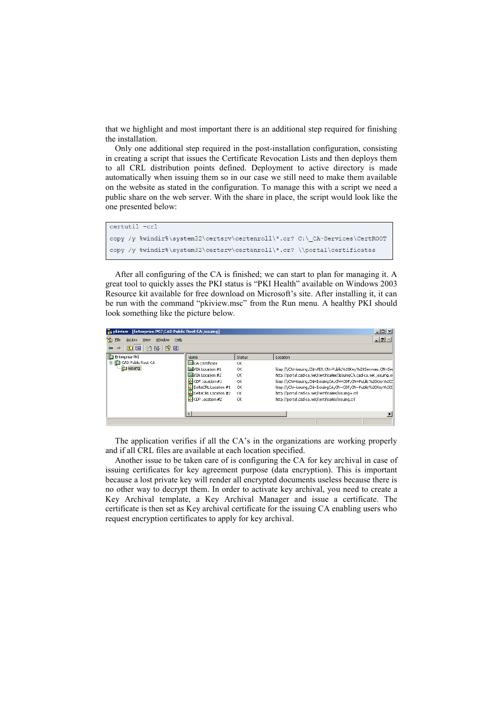that we highlight and most important there is an additional step required for finishing the installation.

Only one additional step required in the post-installation configuration, consisting in creating a script that issues the Certificate Revocation Lists and then deploys them to all CRL distribution points defined. Deployment to active directory is made automatically when issuing them so in our case we still need to make them available on the website as stated in the configuration. To manage this with a script we need a public share on the web server. With the share in place, the script would look like the one presented below:

```
certutil -crl
copy /y %windir%\system32\certsrv\certenroll\*.cr? C:\_CA-Services\CertROOT
copy /y %windir%\system32\certsrv\certenroll\*.cr? \\portal\certificates
```
After all configuring of the CA is finished; we can start to plan for managing it. A great tool to quickly asses the PKI status is "PKI Health" available on Windows 2003 Resource kit available for free download on Microsoft's site. After installing it, it can be run with the command "pkiview.msc" from the Run menu. A healthy PKI should look something like the picture below.

| Timpkiview - [Enterprise PKI\CAD Public Root CA\issuing]        |                      |               | $ \Box$ $\times$                                                      |
|-----------------------------------------------------------------|----------------------|---------------|-----------------------------------------------------------------------|
| i fin<br>File<br><b>Window</b><br>Help<br>Action<br><b>View</b> |                      |               | $-1$ $-1 \times$                                                      |
| 固<br>良<br>五田<br>曾<br>圃<br>⇔<br>⇒                                |                      |               |                                                                       |
| <b>Ex</b><br><b>Enterprise PKI</b>                              | Name                 | <b>Status</b> | Location                                                              |
| 白·图 CAD Public Root CA                                          | CA Cortificate       | OK            |                                                                       |
| <b>Red</b> issuing                                              | AIA Location #1      | OK            | ldap:///CN=issuing.CN=AIA,CN=Publc%20Key%20Services,CN=Set            |
|                                                                 | AIA Location #2      | OK            | http://portal.cad-ca.net/certificates/IssuingCA.cad-ca.net_issuing.or |
|                                                                 | CDP Location #1      | OK            | ldap:///CN=issuing.CN=IssuingCA.CN=CDP.CN=Public%20Key%205            |
|                                                                 | DeltaCRL Location #1 | OK            | ldap:///CN-issuing.CN-IssuingCA.CN-CDP.CN-Public%20Key%209            |
|                                                                 | DebaCRL Location #2  | $\alpha$      | http://portal.cad-ca.net/certificates/issuing+.crl                    |
|                                                                 | CDP Location #2      | OK            | http://portal.cad-ca.net/certificates/issuing.crl                     |
|                                                                 |                      |               |                                                                       |
|                                                                 |                      |               |                                                                       |
|                                                                 |                      |               |                                                                       |

The application verifies if all the CA's in the organizations are working properly and if all CRL files are available at each location specified.

Another issue to be taken care of is configuring the CA for key archival in case of issuing certificates for key agreement purpose (data encryption). This is important because a lost private key will render all encrypted documents useless because there is no other way to decrypt them. In order to activate key archival, you need to create a Key Archival template, a Key Archival Manager and issue a certificate. The certificate is then set as Key archival certificate for the issuing CA enabling users who request encryption certificates to apply for key archival.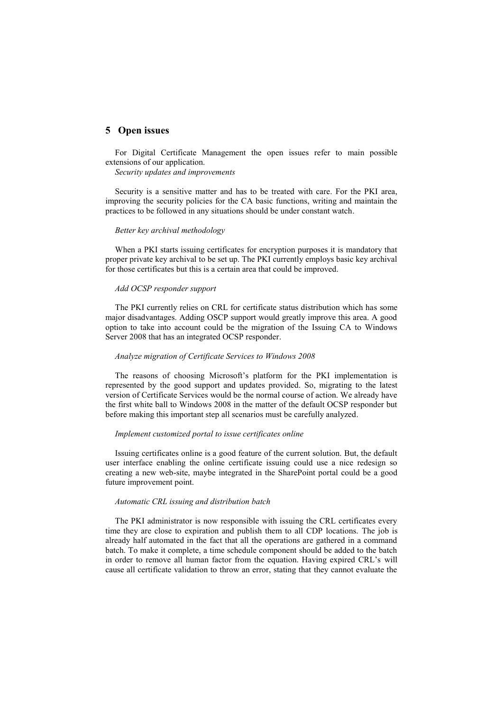## **5 Open issues**

For Digital Certificate Management the open issues refer to main possible extensions of our application.

*Security updates and improvements*

Security is a sensitive matter and has to be treated with care. For the PKI area, improving the security policies for the CA basic functions, writing and maintain the practices to be followed in any situations should be under constant watch.

#### *Better key archival methodology*

When a PKI starts issuing certificates for encryption purposes it is mandatory that proper private key archival to be set up. The PKI currently employs basic key archival for those certificates but this is a certain area that could be improved.

#### *Add OCSP responder support*

The PKI currently relies on CRL for certificate status distribution which has some major disadvantages. Adding OSCP support would greatly improve this area. A good option to take into account could be the migration of the Issuing CA to Windows Server 2008 that has an integrated OCSP responder.

#### *Analyze migration of Certificate Services to Windows 2008*

The reasons of choosing Microsoft's platform for the PKI implementation is represented by the good support and updates provided. So, migrating to the latest version of Certificate Services would be the normal course of action. We already have the first white ball to Windows 2008 in the matter of the default OCSP responder but before making this important step all scenarios must be carefully analyzed.

#### *Implement customized portal to issue certificates online*

Issuing certificates online is a good feature of the current solution. But, the default user interface enabling the online certificate issuing could use a nice redesign so creating a new web-site, maybe integrated in the SharePoint portal could be a good future improvement point.

## *Automatic CRL issuing and distribution batch*

The PKI administrator is now responsible with issuing the CRL certificates every time they are close to expiration and publish them to all CDP locations. The job is already half automated in the fact that all the operations are gathered in a command batch. To make it complete, a time schedule component should be added to the batch in order to remove all human factor from the equation. Having expired CRL's will cause all certificate validation to throw an error, stating that they cannot evaluate the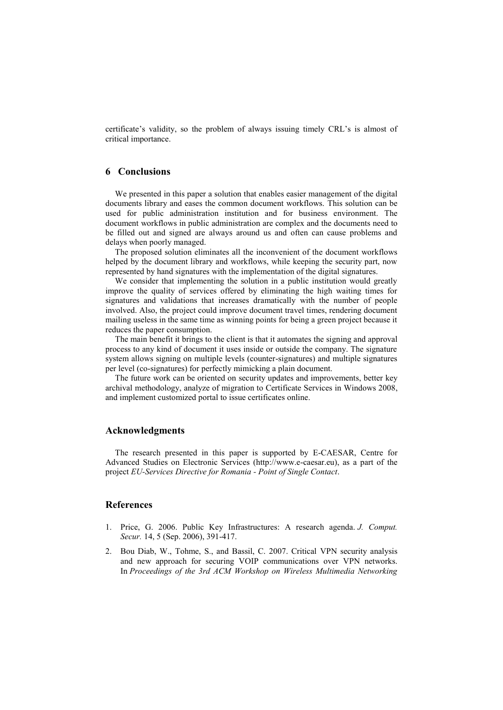certificate's validity, so the problem of always issuing timely CRL's is almost of critical importance.

## **6 Conclusions**

We presented in this paper a solution that enables easier management of the digital documents library and eases the common document workflows. This solution can be used for public administration institution and for business environment. The document workflows in public administration are complex and the documents need to be filled out and signed are always around us and often can cause problems and delays when poorly managed.

The proposed solution eliminates all the inconvenient of the document workflows helped by the document library and workflows, while keeping the security part, now represented by hand signatures with the implementation of the digital signatures.

We consider that implementing the solution in a public institution would greatly improve the quality of services offered by eliminating the high waiting times for signatures and validations that increases dramatically with the number of people involved. Also, the project could improve document travel times, rendering document mailing useless in the same time as winning points for being a green project because it reduces the paper consumption.

The main benefit it brings to the client is that it automates the signing and approval process to any kind of document it uses inside or outside the company. The signature system allows signing on multiple levels (counter-signatures) and multiple signatures per level (co-signatures) for perfectly mimicking a plain document.

The future work can be oriented on security updates and improvements, better key archival methodology, analyze of migration to Certificate Services in Windows 2008, and implement customized portal to issue certificates online.

## **Acknowledgments**

The research presented in this paper is supported by E-CAESAR, Centre for Advanced Studies on Electronic Services (http://www.e-caesar.eu), as a part of the project *EU-Services Directive for Romania - Point of Single Contact*.

## **References**

- 1. Price, G. 2006. Public Key Infrastructures: A research agenda. *J. Comput. Secur.* 14, 5 (Sep. 2006), 391-417.
- 2. Bou Diab, W., Tohme, S., and Bassil, C. 2007. Critical VPN security analysis and new approach for securing VOIP communications over VPN networks. In *Proceedings of the 3rd ACM Workshop on Wireless Multimedia Networking*